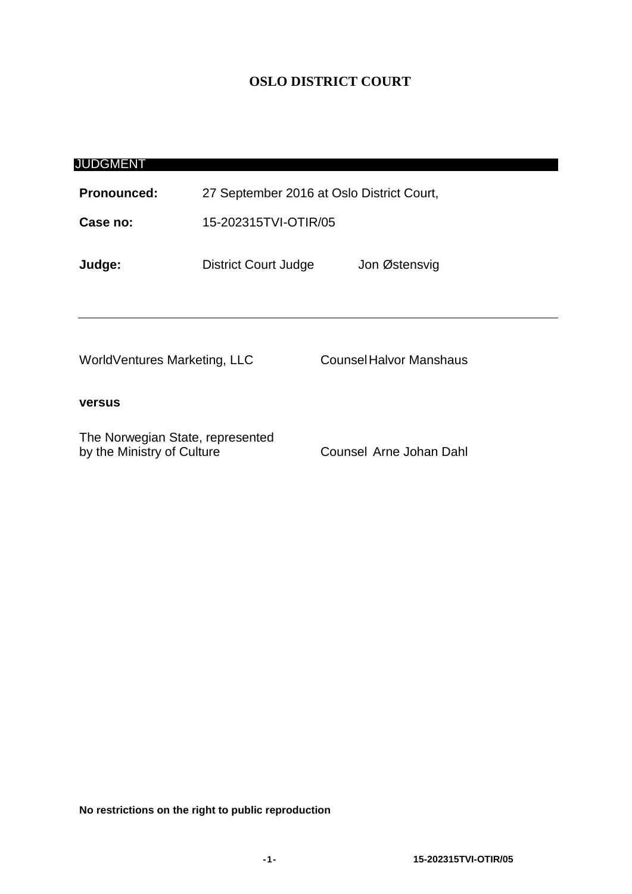# **OSLO DISTRICT COURT**

| JUDGMENT                                                       |                                           |                                |
|----------------------------------------------------------------|-------------------------------------------|--------------------------------|
| <b>Pronounced:</b>                                             | 27 September 2016 at Oslo District Court, |                                |
| Case no:                                                       | 15-202315TVI-OTIR/05                      |                                |
| Judge:                                                         | <b>District Court Judge</b>               | Jon Østensvig                  |
| WorldVentures Marketing, LLC                                   |                                           | <b>Counsel Halvor Manshaus</b> |
| <b>versus</b>                                                  |                                           |                                |
| The Norwegian State, represented<br>by the Ministry of Culture |                                           | Counsel Arne Johan Dahl        |

**No restrictions on the right to public reproduction**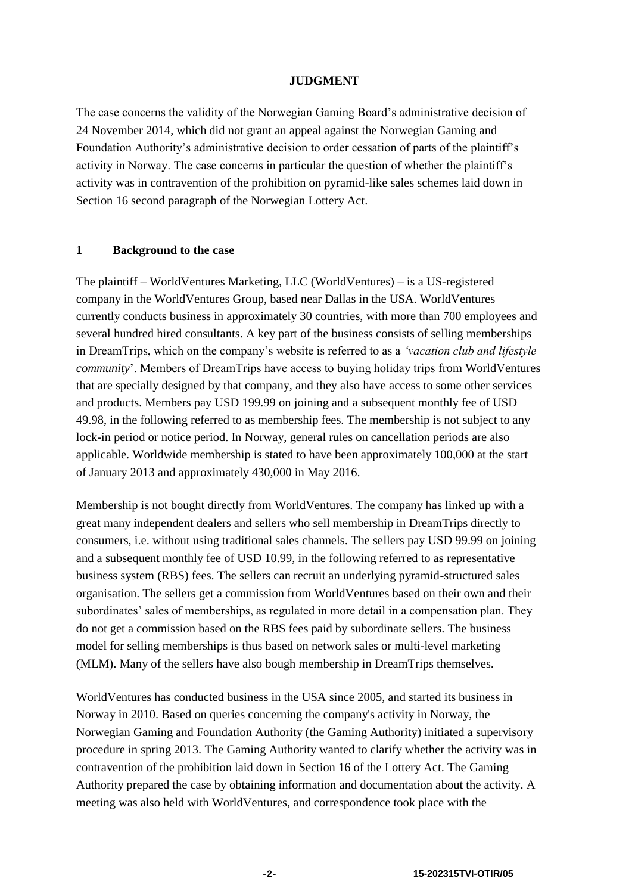#### **JUDGMENT**

The case concerns the validity of the Norwegian Gaming Board's administrative decision of 24 November 2014, which did not grant an appeal against the Norwegian Gaming and Foundation Authority's administrative decision to order cessation of parts of the plaintiff's activity in Norway. The case concerns in particular the question of whether the plaintiff's activity was in contravention of the prohibition on pyramid-like sales schemes laid down in Section 16 second paragraph of the Norwegian Lottery Act.

# **1 Background to the case**

The plaintiff – WorldVentures Marketing, LLC (WorldVentures) – is a US-registered company in the WorldVentures Group, based near Dallas in the USA. WorldVentures currently conducts business in approximately 30 countries, with more than 700 employees and several hundred hired consultants. A key part of the business consists of selling memberships in DreamTrips, which on the company's website is referred to as a *'vacation club and lifestyle community*'. Members of DreamTrips have access to buying holiday trips from WorldVentures that are specially designed by that company, and they also have access to some other services and products. Members pay USD 199.99 on joining and a subsequent monthly fee of USD 49.98, in the following referred to as membership fees. The membership is not subject to any lock-in period or notice period. In Norway, general rules on cancellation periods are also applicable. Worldwide membership is stated to have been approximately 100,000 at the start of January 2013 and approximately 430,000 in May 2016.

Membership is not bought directly from WorldVentures. The company has linked up with a great many independent dealers and sellers who sell membership in DreamTrips directly to consumers, i.e. without using traditional sales channels. The sellers pay USD 99.99 on joining and a subsequent monthly fee of USD 10.99, in the following referred to as representative business system (RBS) fees. The sellers can recruit an underlying pyramid-structured sales organisation. The sellers get a commission from WorldVentures based on their own and their subordinates' sales of memberships, as regulated in more detail in a compensation plan. They do not get a commission based on the RBS fees paid by subordinate sellers. The business model for selling memberships is thus based on network sales or multi-level marketing (MLM). Many of the sellers have also bough membership in DreamTrips themselves.

WorldVentures has conducted business in the USA since 2005, and started its business in Norway in 2010. Based on queries concerning the company's activity in Norway, the Norwegian Gaming and Foundation Authority (the Gaming Authority) initiated a supervisory procedure in spring 2013. The Gaming Authority wanted to clarify whether the activity was in contravention of the prohibition laid down in Section 16 of the Lottery Act. The Gaming Authority prepared the case by obtaining information and documentation about the activity. A meeting was also held with WorldVentures, and correspondence took place with the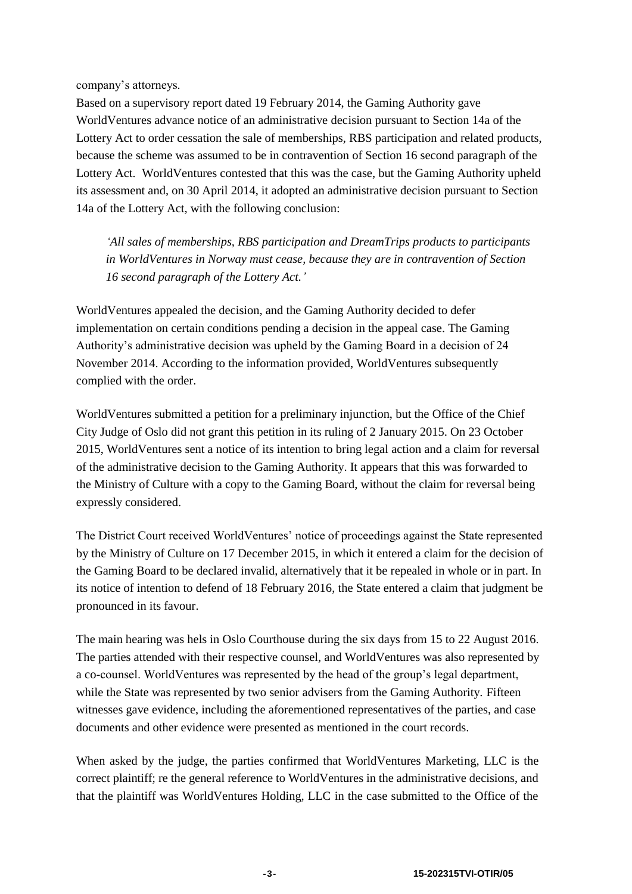company's attorneys.

Based on a supervisory report dated 19 February 2014, the Gaming Authority gave WorldVentures advance notice of an administrative decision pursuant to Section 14a of the Lottery Act to order cessation the sale of memberships, RBS participation and related products, because the scheme was assumed to be in contravention of Section 16 second paragraph of the Lottery Act. WorldVentures contested that this was the case, but the Gaming Authority upheld its assessment and, on 30 April 2014, it adopted an administrative decision pursuant to Section 14a of the Lottery Act, with the following conclusion:

*'All sales of memberships, RBS participation and DreamTrips products to participants in WorldVentures in Norway must cease, because they are in contravention of Section 16 second paragraph of the Lottery Act.'*

WorldVentures appealed the decision, and the Gaming Authority decided to defer implementation on certain conditions pending a decision in the appeal case. The Gaming Authority's administrative decision was upheld by the Gaming Board in a decision of 24 November 2014. According to the information provided, WorldVentures subsequently complied with the order.

WorldVentures submitted a petition for a preliminary injunction, but the Office of the Chief City Judge of Oslo did not grant this petition in its ruling of 2 January 2015. On 23 October 2015, WorldVentures sent a notice of its intention to bring legal action and a claim for reversal of the administrative decision to the Gaming Authority. It appears that this was forwarded to the Ministry of Culture with a copy to the Gaming Board, without the claim for reversal being expressly considered.

The District Court received WorldVentures' notice of proceedings against the State represented by the Ministry of Culture on 17 December 2015, in which it entered a claim for the decision of the Gaming Board to be declared invalid, alternatively that it be repealed in whole or in part. In its notice of intention to defend of 18 February 2016, the State entered a claim that judgment be pronounced in its favour.

The main hearing was hels in Oslo Courthouse during the six days from 15 to 22 August 2016. The parties attended with their respective counsel, and WorldVentures was also represented by a co-counsel. WorldVentures was represented by the head of the group's legal department, while the State was represented by two senior advisers from the Gaming Authority. Fifteen witnesses gave evidence, including the aforementioned representatives of the parties, and case documents and other evidence were presented as mentioned in the court records.

When asked by the judge, the parties confirmed that WorldVentures Marketing, LLC is the correct plaintiff; re the general reference to WorldVentures in the administrative decisions, and that the plaintiff was WorldVentures Holding, LLC in the case submitted to the Office of the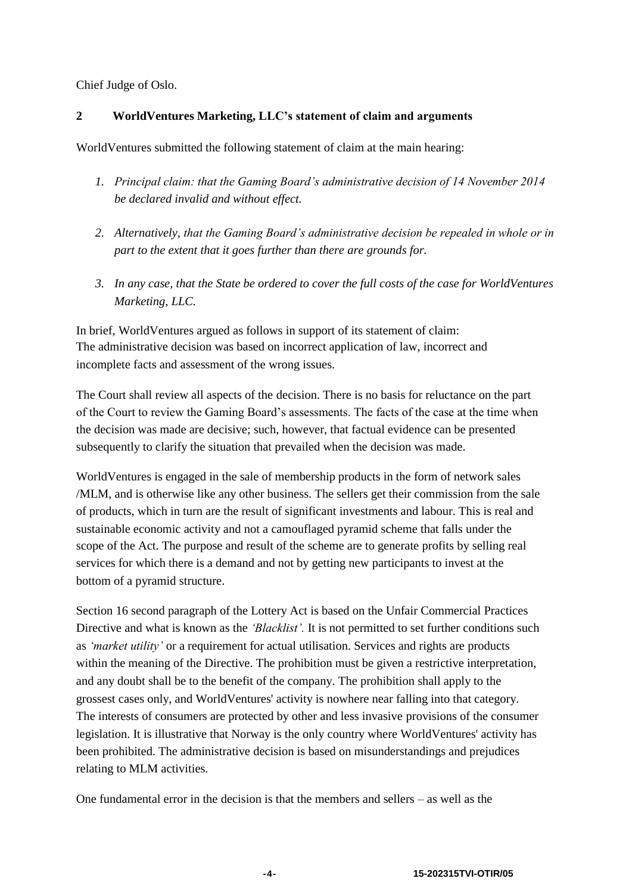Chief Judge of Oslo.

# **2 WorldVentures Marketing, LLC's statement of claim and arguments**

WorldVentures submitted the following statement of claim at the main hearing:

- *1. Principal claim: that the Gaming Board's administrative decision of 14 November 2014 be declared invalid and without effect.*
- *2. Alternatively, that the Gaming Board's administrative decision be repealed in whole or in part to the extent that it goes further than there are grounds for.*
- *3. In any case, that the State be ordered to cover the full costs of the case for WorldVentures Marketing, LLC.*

In brief, WorldVentures argued as follows in support of its statement of claim: The administrative decision was based on incorrect application of law, incorrect and incomplete facts and assessment of the wrong issues.

The Court shall review all aspects of the decision. There is no basis for reluctance on the part of the Court to review the Gaming Board's assessments. The facts of the case at the time when the decision was made are decisive; such, however, that factual evidence can be presented subsequently to clarify the situation that prevailed when the decision was made.

WorldVentures is engaged in the sale of membership products in the form of network sales /MLM, and is otherwise like any other business. The sellers get their commission from the sale of products, which in turn are the result of significant investments and labour. This is real and sustainable economic activity and not a camouflaged pyramid scheme that falls under the scope of the Act. The purpose and result of the scheme are to generate profits by selling real services for which there is a demand and not by getting new participants to invest at the bottom of a pyramid structure.

Section 16 second paragraph of the Lottery Act is based on the Unfair Commercial Practices Directive and what is known as the *'Blacklist'.* It is not permitted to set further conditions such as *'market utility'* or a requirement for actual utilisation. Services and rights are products within the meaning of the Directive. The prohibition must be given a restrictive interpretation, and any doubt shall be to the benefit of the company. The prohibition shall apply to the grossest cases only, and WorldVentures' activity is nowhere near falling into that category. The interests of consumers are protected by other and less invasive provisions of the consumer legislation. It is illustrative that Norway is the only country where WorldVentures' activity has been prohibited. The administrative decision is based on misunderstandings and prejudices relating to MLM activities.

One fundamental error in the decision is that the members and sellers – as well as the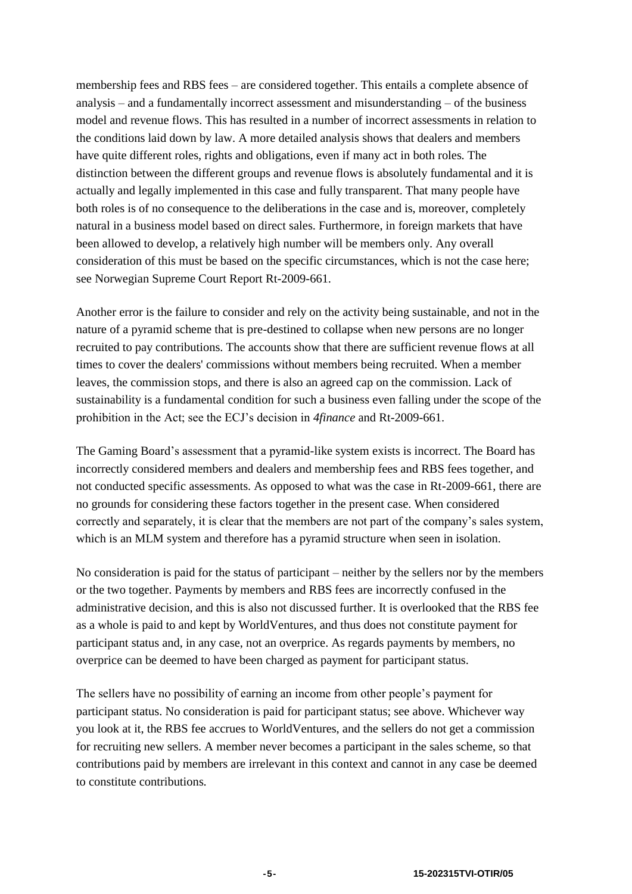membership fees and RBS fees – are considered together. This entails a complete absence of analysis – and a fundamentally incorrect assessment and misunderstanding – of the business model and revenue flows. This has resulted in a number of incorrect assessments in relation to the conditions laid down by law. A more detailed analysis shows that dealers and members have quite different roles, rights and obligations, even if many act in both roles. The distinction between the different groups and revenue flows is absolutely fundamental and it is actually and legally implemented in this case and fully transparent. That many people have both roles is of no consequence to the deliberations in the case and is, moreover, completely natural in a business model based on direct sales. Furthermore, in foreign markets that have been allowed to develop, a relatively high number will be members only. Any overall consideration of this must be based on the specific circumstances, which is not the case here; see Norwegian Supreme Court Report Rt-2009-661.

Another error is the failure to consider and rely on the activity being sustainable, and not in the nature of a pyramid scheme that is pre-destined to collapse when new persons are no longer recruited to pay contributions. The accounts show that there are sufficient revenue flows at all times to cover the dealers' commissions without members being recruited. When a member leaves, the commission stops, and there is also an agreed cap on the commission. Lack of sustainability is a fundamental condition for such a business even falling under the scope of the prohibition in the Act; see the ECJ's decision in *4finance* and Rt-2009-661.

The Gaming Board's assessment that a pyramid-like system exists is incorrect. The Board has incorrectly considered members and dealers and membership fees and RBS fees together, and not conducted specific assessments. As opposed to what was the case in Rt-2009-661, there are no grounds for considering these factors together in the present case. When considered correctly and separately, it is clear that the members are not part of the company's sales system, which is an MLM system and therefore has a pyramid structure when seen in isolation.

No consideration is paid for the status of participant – neither by the sellers nor by the members or the two together. Payments by members and RBS fees are incorrectly confused in the administrative decision, and this is also not discussed further. It is overlooked that the RBS fee as a whole is paid to and kept by WorldVentures, and thus does not constitute payment for participant status and, in any case, not an overprice. As regards payments by members, no overprice can be deemed to have been charged as payment for participant status.

The sellers have no possibility of earning an income from other people's payment for participant status. No consideration is paid for participant status; see above. Whichever way you look at it, the RBS fee accrues to WorldVentures, and the sellers do not get a commission for recruiting new sellers. A member never becomes a participant in the sales scheme, so that contributions paid by members are irrelevant in this context and cannot in any case be deemed to constitute contributions.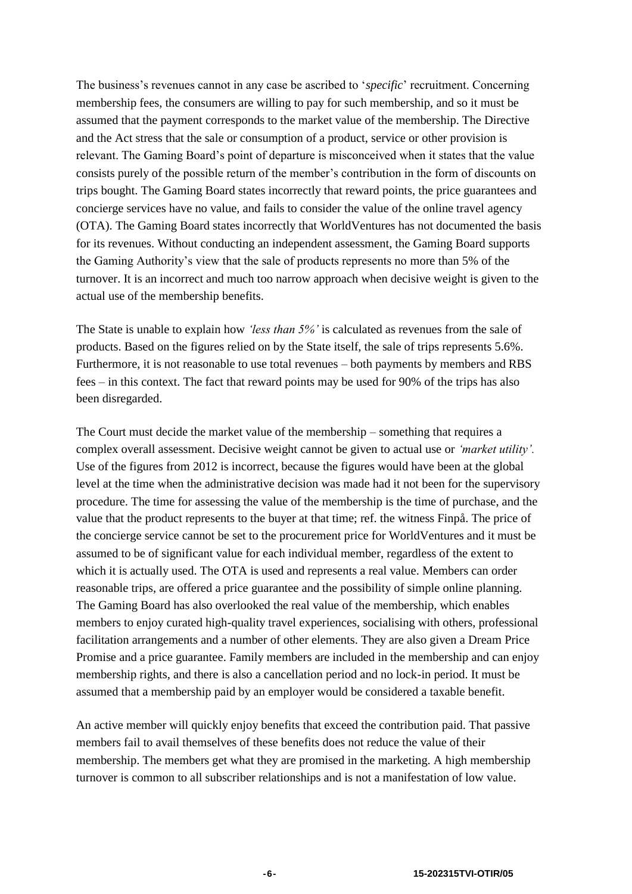The business's revenues cannot in any case be ascribed to '*specific*' recruitment. Concerning membership fees, the consumers are willing to pay for such membership, and so it must be assumed that the payment corresponds to the market value of the membership. The Directive and the Act stress that the sale or consumption of a product, service or other provision is relevant. The Gaming Board's point of departure is misconceived when it states that the value consists purely of the possible return of the member's contribution in the form of discounts on trips bought. The Gaming Board states incorrectly that reward points, the price guarantees and concierge services have no value, and fails to consider the value of the online travel agency (OTA). The Gaming Board states incorrectly that WorldVentures has not documented the basis for its revenues. Without conducting an independent assessment, the Gaming Board supports the Gaming Authority's view that the sale of products represents no more than 5% of the turnover. It is an incorrect and much too narrow approach when decisive weight is given to the actual use of the membership benefits.

The State is unable to explain how *'less than 5%'* is calculated as revenues from the sale of products. Based on the figures relied on by the State itself, the sale of trips represents 5.6%*.* Furthermore, it is not reasonable to use total revenues – both payments by members and RBS fees – in this context. The fact that reward points may be used for 90% of the trips has also been disregarded.

The Court must decide the market value of the membership – something that requires a complex overall assessment. Decisive weight cannot be given to actual use or *'market utility'.* Use of the figures from 2012 is incorrect, because the figures would have been at the global level at the time when the administrative decision was made had it not been for the supervisory procedure. The time for assessing the value of the membership is the time of purchase, and the value that the product represents to the buyer at that time; ref. the witness Finpå. The price of the concierge service cannot be set to the procurement price for WorldVentures and it must be assumed to be of significant value for each individual member, regardless of the extent to which it is actually used. The OTA is used and represents a real value. Members can order reasonable trips, are offered a price guarantee and the possibility of simple online planning. The Gaming Board has also overlooked the real value of the membership, which enables members to enjoy curated high-quality travel experiences, socialising with others, professional facilitation arrangements and a number of other elements. They are also given a Dream Price Promise and a price guarantee. Family members are included in the membership and can enjoy membership rights, and there is also a cancellation period and no lock-in period. It must be assumed that a membership paid by an employer would be considered a taxable benefit.

An active member will quickly enjoy benefits that exceed the contribution paid. That passive members fail to avail themselves of these benefits does not reduce the value of their membership. The members get what they are promised in the marketing. A high membership turnover is common to all subscriber relationships and is not a manifestation of low value.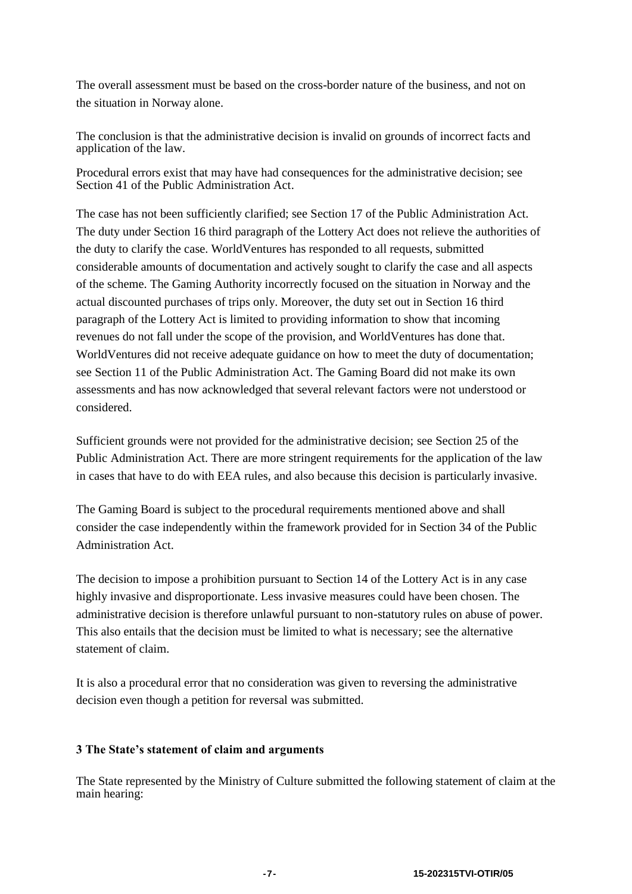The overall assessment must be based on the cross-border nature of the business, and not on the situation in Norway alone.

The conclusion is that the administrative decision is invalid on grounds of incorrect facts and application of the law.

Procedural errors exist that may have had consequences for the administrative decision; see Section 41 of the Public Administration Act.

The case has not been sufficiently clarified; see Section 17 of the Public Administration Act. The duty under Section 16 third paragraph of the Lottery Act does not relieve the authorities of the duty to clarify the case. WorldVentures has responded to all requests, submitted considerable amounts of documentation and actively sought to clarify the case and all aspects of the scheme. The Gaming Authority incorrectly focused on the situation in Norway and the actual discounted purchases of trips only. Moreover, the duty set out in Section 16 third paragraph of the Lottery Act is limited to providing information to show that incoming revenues do not fall under the scope of the provision, and WorldVentures has done that. WorldVentures did not receive adequate guidance on how to meet the duty of documentation; see Section 11 of the Public Administration Act. The Gaming Board did not make its own assessments and has now acknowledged that several relevant factors were not understood or considered.

Sufficient grounds were not provided for the administrative decision; see Section 25 of the Public Administration Act. There are more stringent requirements for the application of the law in cases that have to do with EEA rules, and also because this decision is particularly invasive.

The Gaming Board is subject to the procedural requirements mentioned above and shall consider the case independently within the framework provided for in Section 34 of the Public Administration Act.

The decision to impose a prohibition pursuant to Section 14 of the Lottery Act is in any case highly invasive and disproportionate. Less invasive measures could have been chosen. The administrative decision is therefore unlawful pursuant to non-statutory rules on abuse of power. This also entails that the decision must be limited to what is necessary; see the alternative statement of claim.

It is also a procedural error that no consideration was given to reversing the administrative decision even though a petition for reversal was submitted.

#### **3 The State's statement of claim and arguments**

The State represented by the Ministry of Culture submitted the following statement of claim at the main hearing: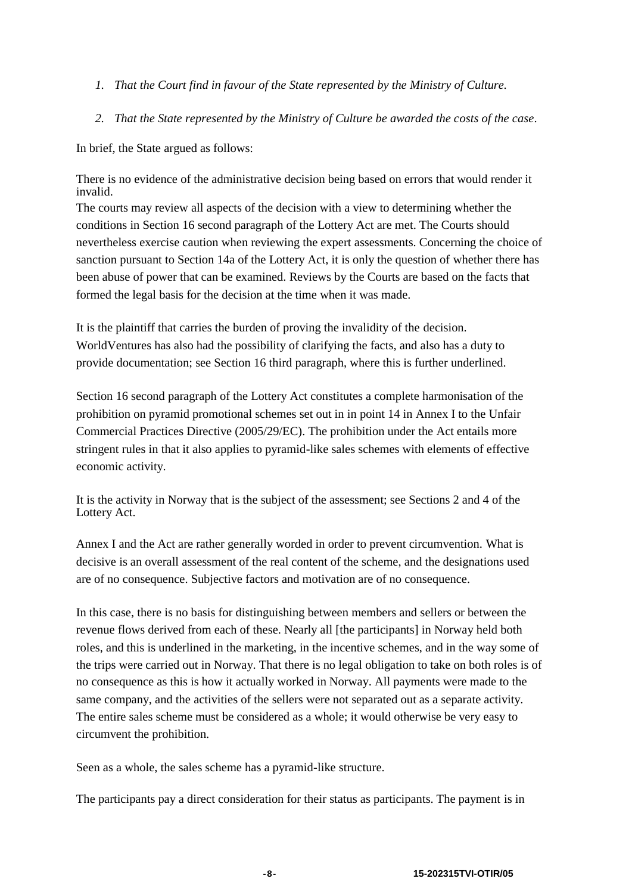- *1. That the Court find in favour of the State represented by the Ministry of Culture.*
- *2. That the State represented by the Ministry of Culture be awarded the costs of the case*.

In brief, the State argued as follows:

There is no evidence of the administrative decision being based on errors that would render it invalid.

The courts may review all aspects of the decision with a view to determining whether the conditions in Section 16 second paragraph of the Lottery Act are met. The Courts should nevertheless exercise caution when reviewing the expert assessments. Concerning the choice of sanction pursuant to Section 14a of the Lottery Act, it is only the question of whether there has been abuse of power that can be examined. Reviews by the Courts are based on the facts that formed the legal basis for the decision at the time when it was made.

It is the plaintiff that carries the burden of proving the invalidity of the decision. WorldVentures has also had the possibility of clarifying the facts, and also has a duty to provide documentation; see Section 16 third paragraph, where this is further underlined.

Section 16 second paragraph of the Lottery Act constitutes a complete harmonisation of the prohibition on pyramid promotional schemes set out in in point 14 in Annex I to the Unfair Commercial Practices Directive (2005/29/EC). The prohibition under the Act entails more stringent rules in that it also applies to pyramid-like sales schemes with elements of effective economic activity.

It is the activity in Norway that is the subject of the assessment; see Sections 2 and 4 of the Lottery Act.

Annex I and the Act are rather generally worded in order to prevent circumvention. What is decisive is an overall assessment of the real content of the scheme, and the designations used are of no consequence. Subjective factors and motivation are of no consequence.

In this case, there is no basis for distinguishing between members and sellers or between the revenue flows derived from each of these. Nearly all [the participants] in Norway held both roles, and this is underlined in the marketing, in the incentive schemes, and in the way some of the trips were carried out in Norway. That there is no legal obligation to take on both roles is of no consequence as this is how it actually worked in Norway. All payments were made to the same company, and the activities of the sellers were not separated out as a separate activity. The entire sales scheme must be considered as a whole; it would otherwise be very easy to circumvent the prohibition.

Seen as a whole, the sales scheme has a pyramid-like structure.

The participants pay a direct consideration for their status as participants. The payment is in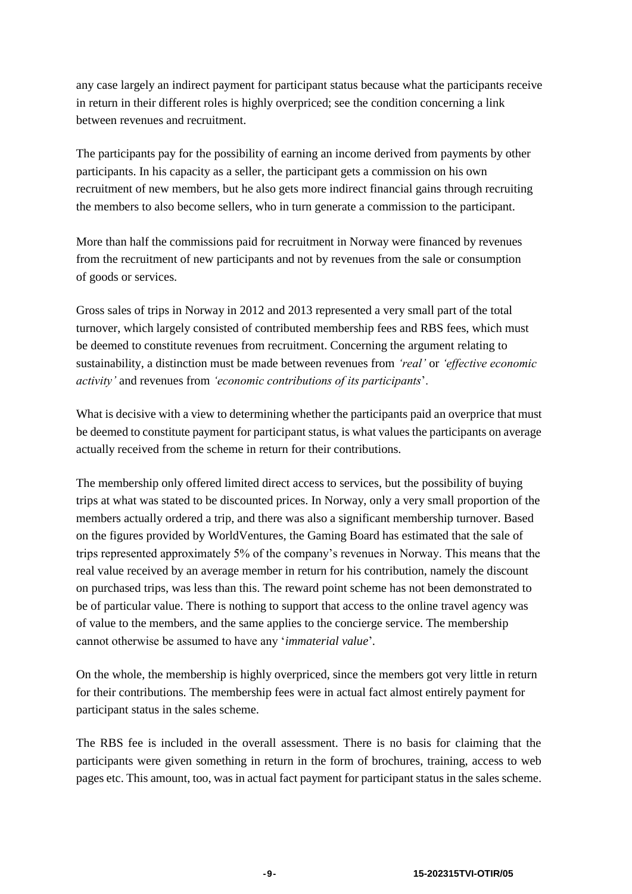any case largely an indirect payment for participant status because what the participants receive in return in their different roles is highly overpriced; see the condition concerning a link between revenues and recruitment.

The participants pay for the possibility of earning an income derived from payments by other participants. In his capacity as a seller, the participant gets a commission on his own recruitment of new members, but he also gets more indirect financial gains through recruiting the members to also become sellers, who in turn generate a commission to the participant.

More than half the commissions paid for recruitment in Norway were financed by revenues from the recruitment of new participants and not by revenues from the sale or consumption of goods or services.

Gross sales of trips in Norway in 2012 and 2013 represented a very small part of the total turnover, which largely consisted of contributed membership fees and RBS fees, which must be deemed to constitute revenues from recruitment. Concerning the argument relating to sustainability, a distinction must be made between revenues from *'real'* or *'effective economic activity'* and revenues from *'economic contributions of its participants*'.

What is decisive with a view to determining whether the participants paid an overprice that must be deemed to constitute payment for participant status, is what values the participants on average actually received from the scheme in return for their contributions.

The membership only offered limited direct access to services, but the possibility of buying trips at what was stated to be discounted prices. In Norway, only a very small proportion of the members actually ordered a trip, and there was also a significant membership turnover. Based on the figures provided by WorldVentures, the Gaming Board has estimated that the sale of trips represented approximately 5% of the company's revenues in Norway. This means that the real value received by an average member in return for his contribution, namely the discount on purchased trips, was less than this. The reward point scheme has not been demonstrated to be of particular value. There is nothing to support that access to the online travel agency was of value to the members, and the same applies to the concierge service. The membership cannot otherwise be assumed to have any '*immaterial value*'*.*

On the whole, the membership is highly overpriced, since the members got very little in return for their contributions. The membership fees were in actual fact almost entirely payment for participant status in the sales scheme.

The RBS fee is included in the overall assessment. There is no basis for claiming that the participants were given something in return in the form of brochures, training, access to web pages etc. This amount, too, was in actual fact payment for participant status in the sales scheme.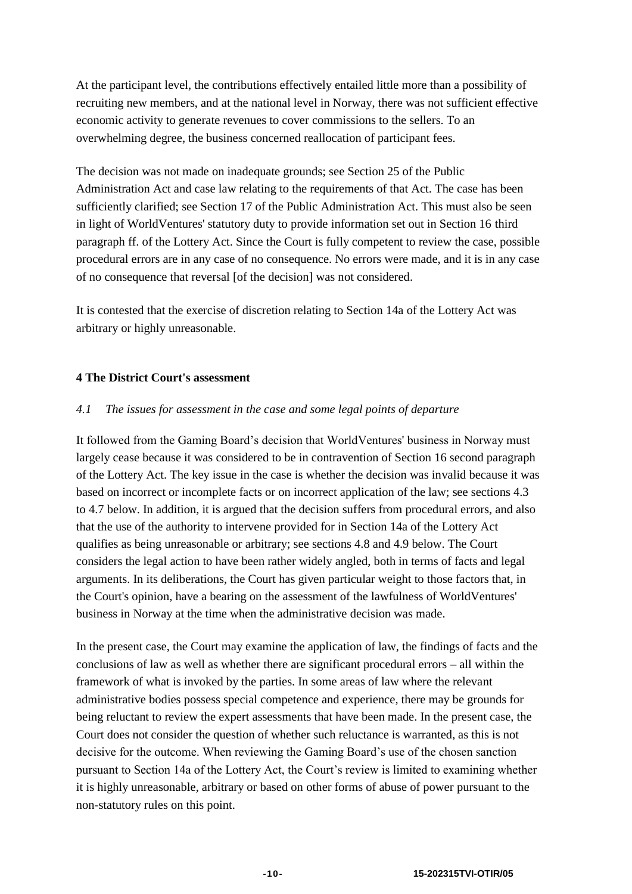At the participant level, the contributions effectively entailed little more than a possibility of recruiting new members, and at the national level in Norway, there was not sufficient effective economic activity to generate revenues to cover commissions to the sellers. To an overwhelming degree, the business concerned reallocation of participant fees.

The decision was not made on inadequate grounds; see Section 25 of the Public Administration Act and case law relating to the requirements of that Act. The case has been sufficiently clarified; see Section 17 of the Public Administration Act. This must also be seen in light of WorldVentures' statutory duty to provide information set out in Section 16 third paragraph ff. of the Lottery Act. Since the Court is fully competent to review the case, possible procedural errors are in any case of no consequence. No errors were made, and it is in any case of no consequence that reversal [of the decision] was not considered.

It is contested that the exercise of discretion relating to Section 14a of the Lottery Act was arbitrary or highly unreasonable.

# **4 The District Court's assessment**

#### *4.1 The issues for assessment in the case and some legal points of departure*

It followed from the Gaming Board's decision that WorldVentures' business in Norway must largely cease because it was considered to be in contravention of Section 16 second paragraph of the Lottery Act. The key issue in the case is whether the decision was invalid because it was based on incorrect or incomplete facts or on incorrect application of the law; see sections 4.3 to 4.7 below. In addition, it is argued that the decision suffers from procedural errors, and also that the use of the authority to intervene provided for in Section 14a of the Lottery Act qualifies as being unreasonable or arbitrary; see sections 4.8 and 4.9 below. The Court considers the legal action to have been rather widely angled, both in terms of facts and legal arguments. In its deliberations, the Court has given particular weight to those factors that, in the Court's opinion, have a bearing on the assessment of the lawfulness of WorldVentures' business in Norway at the time when the administrative decision was made.

In the present case, the Court may examine the application of law, the findings of facts and the conclusions of law as well as whether there are significant procedural errors – all within the framework of what is invoked by the parties. In some areas of law where the relevant administrative bodies possess special competence and experience, there may be grounds for being reluctant to review the expert assessments that have been made. In the present case, the Court does not consider the question of whether such reluctance is warranted, as this is not decisive for the outcome. When reviewing the Gaming Board's use of the chosen sanction pursuant to Section 14a of the Lottery Act, the Court's review is limited to examining whether it is highly unreasonable, arbitrary or based on other forms of abuse of power pursuant to the non-statutory rules on this point.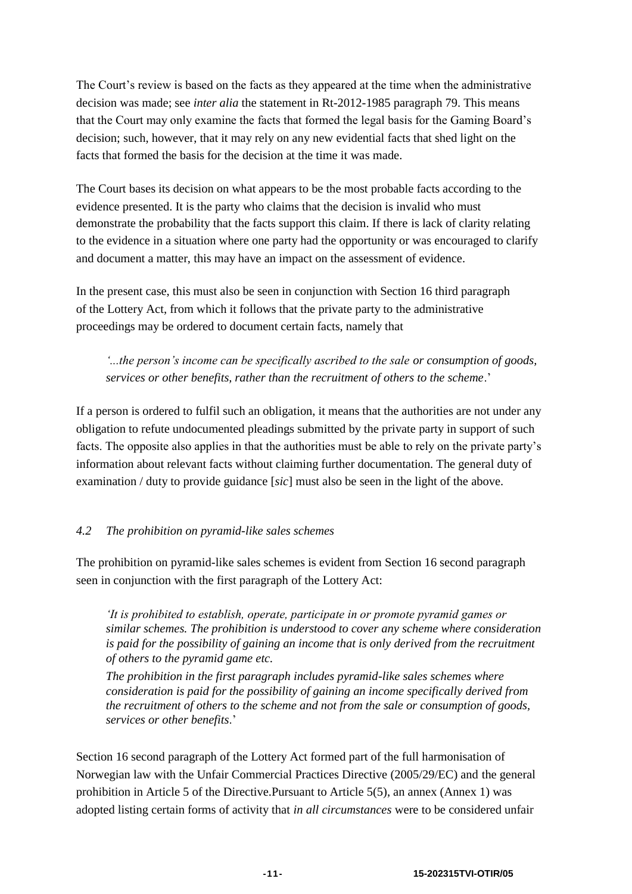The Court's review is based on the facts as they appeared at the time when the administrative decision was made; see *inter alia* the statement in Rt-2012-1985 paragraph 79. This means that the Court may only examine the facts that formed the legal basis for the Gaming Board's decision; such, however, that it may rely on any new evidential facts that shed light on the facts that formed the basis for the decision at the time it was made.

The Court bases its decision on what appears to be the most probable facts according to the evidence presented. It is the party who claims that the decision is invalid who must demonstrate the probability that the facts support this claim. If there is lack of clarity relating to the evidence in a situation where one party had the opportunity or was encouraged to clarify and document a matter, this may have an impact on the assessment of evidence.

In the present case, this must also be seen in conjunction with Section 16 third paragraph of the Lottery Act, from which it follows that the private party to the administrative proceedings may be ordered to document certain facts, namely that

*'...the person's income can be specifically ascribed to the sale or consumption of goods, services or other benefits, rather than the recruitment of others to the scheme*.'

If a person is ordered to fulfil such an obligation, it means that the authorities are not under any obligation to refute undocumented pleadings submitted by the private party in support of such facts. The opposite also applies in that the authorities must be able to rely on the private party's information about relevant facts without claiming further documentation. The general duty of examination / duty to provide guidance [*sic*] must also be seen in the light of the above.

# *4.2 The prohibition on pyramid-like sales schemes*

The prohibition on pyramid-like sales schemes is evident from Section 16 second paragraph seen in conjunction with the first paragraph of the Lottery Act:

*'It is prohibited to establish, operate, participate in or promote pyramid games or similar schemes. The prohibition is understood to cover any scheme where consideration is paid for the possibility of gaining an income that is only derived from the recruitment of others to the pyramid game etc.*

*The prohibition in the first paragraph includes pyramid-like sales schemes where consideration is paid for the possibility of gaining an income specifically derived from the recruitment of others to the scheme and not from the sale or consumption of goods, services or other benefits*.'

Section 16 second paragraph of the Lottery Act formed part of the full harmonisation of Norwegian law with the Unfair Commercial Practices Directive (2005/29/EC) and the general prohibition in Article 5 of the Directive.Pursuant to Article 5(5), an annex (Annex 1) was adopted listing certain forms of activity that *in all circumstances* were to be considered unfair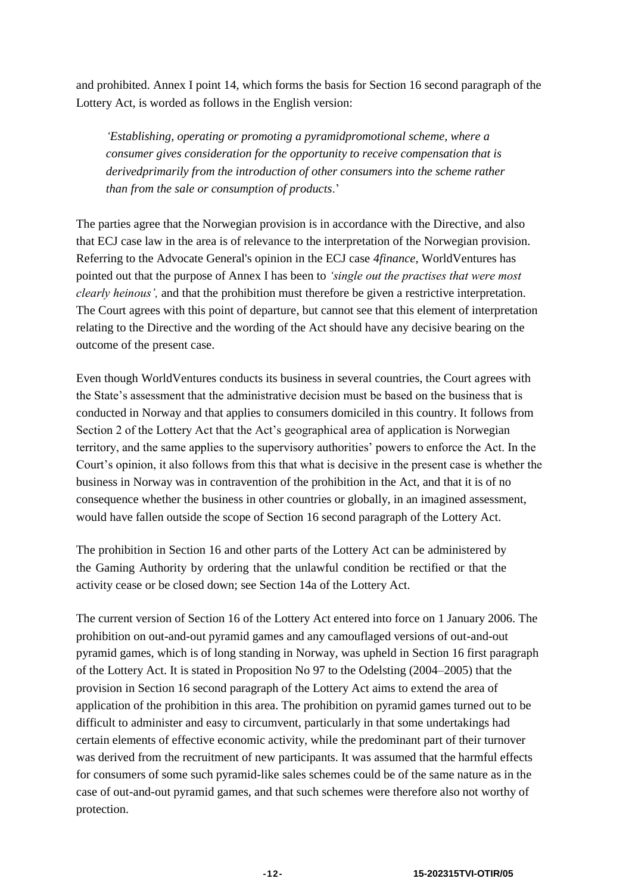and prohibited. Annex I point 14, which forms the basis for Section 16 second paragraph of the Lottery Act, is worded as follows in the English version:

*'Establishing, operating or promoting a pyramidpromotional scheme, where a consumer gives consideration for the opportunity to receive compensation that is derivedprimarily from the introduction of other consumers into the scheme rather than from the sale or consumption of products*.'

The parties agree that the Norwegian provision is in accordance with the Directive, and also that ECJ case law in the area is of relevance to the interpretation of the Norwegian provision. Referring to the Advocate General's opinion in the ECJ case *4finance*, WorldVentures has pointed out that the purpose of Annex I has been to *'single out the practises that were most clearly heinous',* and that the prohibition must therefore be given a restrictive interpretation. The Court agrees with this point of departure, but cannot see that this element of interpretation relating to the Directive and the wording of the Act should have any decisive bearing on the outcome of the present case.

Even though WorldVentures conducts its business in several countries, the Court agrees with the State's assessment that the administrative decision must be based on the business that is conducted in Norway and that applies to consumers domiciled in this country. It follows from Section 2 of the Lottery Act that the Act's geographical area of application is Norwegian territory, and the same applies to the supervisory authorities' powers to enforce the Act. In the Court's opinion, it also follows from this that what is decisive in the present case is whether the business in Norway was in contravention of the prohibition in the Act, and that it is of no consequence whether the business in other countries or globally, in an imagined assessment, would have fallen outside the scope of Section 16 second paragraph of the Lottery Act.

The prohibition in Section 16 and other parts of the Lottery Act can be administered by the Gaming Authority by ordering that the unlawful condition be rectified or that the activity cease or be closed down; see Section 14a of the Lottery Act.

The current version of Section 16 of the Lottery Act entered into force on 1 January 2006. The prohibition on out-and-out pyramid games and any camouflaged versions of out-and-out pyramid games, which is of long standing in Norway, was upheld in Section 16 first paragraph of the Lottery Act. It is stated in Proposition No 97 to the Odelsting (2004–2005) that the provision in Section 16 second paragraph of the Lottery Act aims to extend the area of application of the prohibition in this area. The prohibition on pyramid games turned out to be difficult to administer and easy to circumvent, particularly in that some undertakings had certain elements of effective economic activity, while the predominant part of their turnover was derived from the recruitment of new participants. It was assumed that the harmful effects for consumers of some such pyramid-like sales schemes could be of the same nature as in the case of out-and-out pyramid games, and that such schemes were therefore also not worthy of protection.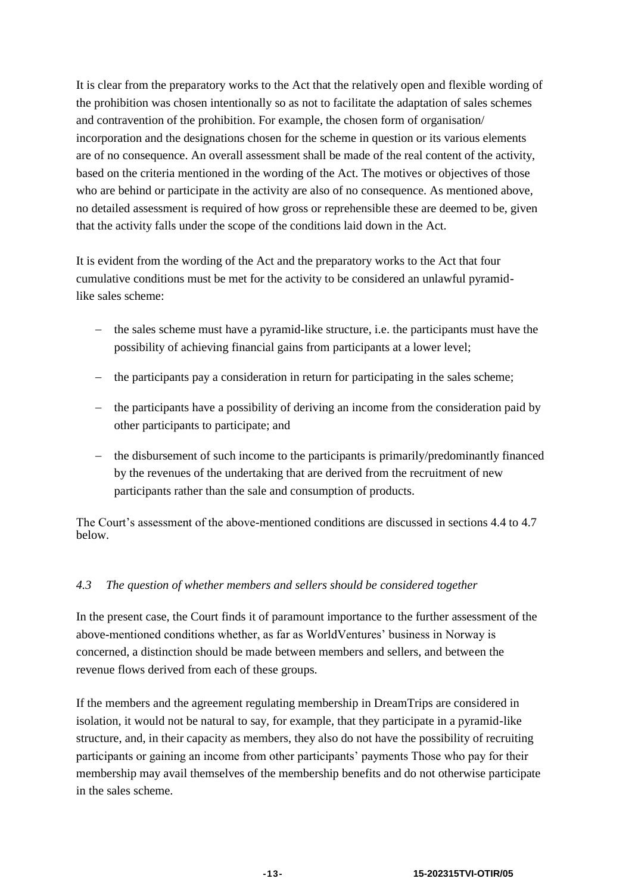It is clear from the preparatory works to the Act that the relatively open and flexible wording of the prohibition was chosen intentionally so as not to facilitate the adaptation of sales schemes and contravention of the prohibition. For example, the chosen form of organisation/ incorporation and the designations chosen for the scheme in question or its various elements are of no consequence. An overall assessment shall be made of the real content of the activity, based on the criteria mentioned in the wording of the Act. The motives or objectives of those who are behind or participate in the activity are also of no consequence. As mentioned above, no detailed assessment is required of how gross or reprehensible these are deemed to be, given that the activity falls under the scope of the conditions laid down in the Act.

It is evident from the wording of the Act and the preparatory works to the Act that four cumulative conditions must be met for the activity to be considered an unlawful pyramidlike sales scheme:

- $\hbar$  the sales scheme must have a pyramid-like structure, i.e. the participants must have the possibility of achieving financial gains from participants at a lower level;
- the participants pay a consideration in return for participating in the sales scheme;
- $-$  the participants have a possibility of deriving an income from the consideration paid by other participants to participate; and
- $\theta$  the disbursement of such income to the participants is primarily/predominantly financed by the revenues of the undertaking that are derived from the recruitment of new participants rather than the sale and consumption of products.

The Court's assessment of the above-mentioned conditions are discussed in sections 4.4 to 4.7 below.

# *4.3 The question of whether members and sellers should be considered together*

In the present case, the Court finds it of paramount importance to the further assessment of the above-mentioned conditions whether, as far as WorldVentures' business in Norway is concerned, a distinction should be made between members and sellers, and between the revenue flows derived from each of these groups.

If the members and the agreement regulating membership in DreamTrips are considered in isolation, it would not be natural to say, for example, that they participate in a pyramid-like structure, and, in their capacity as members, they also do not have the possibility of recruiting participants or gaining an income from other participants' payments Those who pay for their membership may avail themselves of the membership benefits and do not otherwise participate in the sales scheme.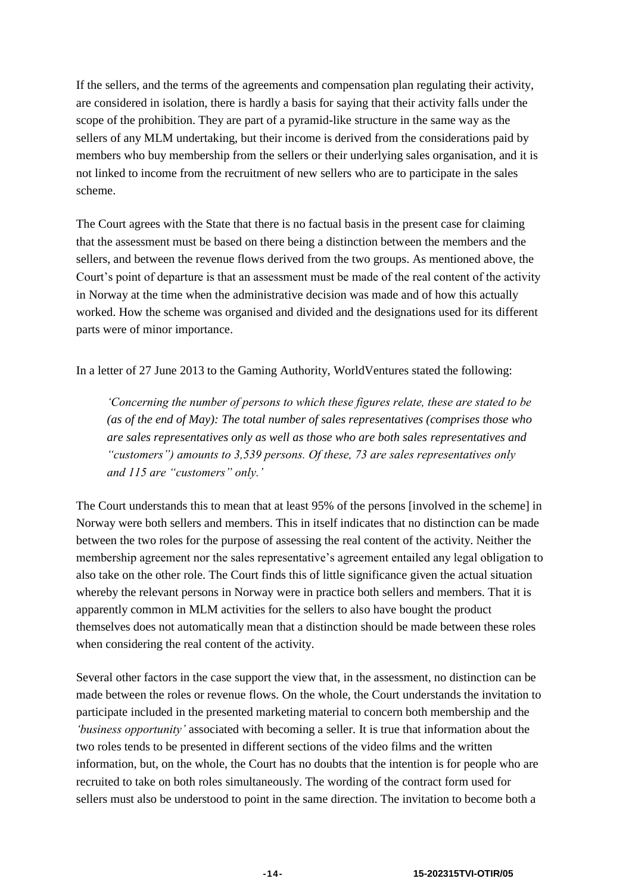If the sellers, and the terms of the agreements and compensation plan regulating their activity, are considered in isolation, there is hardly a basis for saying that their activity falls under the scope of the prohibition. They are part of a pyramid-like structure in the same way as the sellers of any MLM undertaking, but their income is derived from the considerations paid by members who buy membership from the sellers or their underlying sales organisation, and it is not linked to income from the recruitment of new sellers who are to participate in the sales scheme.

The Court agrees with the State that there is no factual basis in the present case for claiming that the assessment must be based on there being a distinction between the members and the sellers, and between the revenue flows derived from the two groups. As mentioned above, the Court's point of departure is that an assessment must be made of the real content of the activity in Norway at the time when the administrative decision was made and of how this actually worked. How the scheme was organised and divided and the designations used for its different parts were of minor importance.

In a letter of 27 June 2013 to the Gaming Authority, WorldVentures stated the following:

*'Concerning the number of persons to which these figures relate, these are stated to be (as of the end of May): The total number of sales representatives (comprises those who are sales representatives only as well as those who are both sales representatives and "customers") amounts to 3,539 persons. Of these, 73 are sales representatives only and 115 are "customers" only.'*

The Court understands this to mean that at least 95% of the persons [involved in the scheme] in Norway were both sellers and members. This in itself indicates that no distinction can be made between the two roles for the purpose of assessing the real content of the activity. Neither the membership agreement nor the sales representative's agreement entailed any legal obligation to also take on the other role. The Court finds this of little significance given the actual situation whereby the relevant persons in Norway were in practice both sellers and members. That it is apparently common in MLM activities for the sellers to also have bought the product themselves does not automatically mean that a distinction should be made between these roles when considering the real content of the activity.

Several other factors in the case support the view that, in the assessment, no distinction can be made between the roles or revenue flows. On the whole, the Court understands the invitation to participate included in the presented marketing material to concern both membership and the *'business opportunity'* associated with becoming a seller. It is true that information about the two roles tends to be presented in different sections of the video films and the written information, but, on the whole, the Court has no doubts that the intention is for people who are recruited to take on both roles simultaneously. The wording of the contract form used for sellers must also be understood to point in the same direction. The invitation to become both a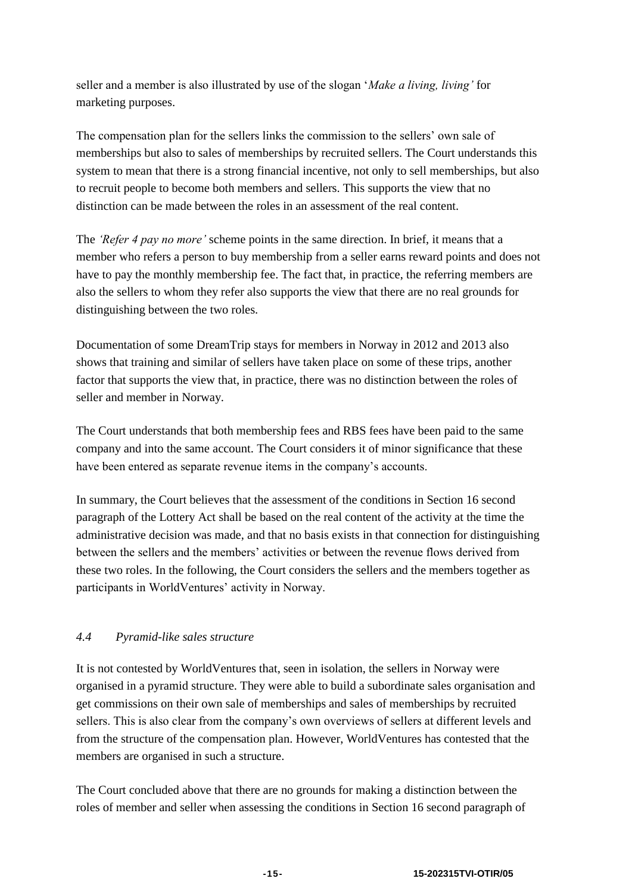seller and a member is also illustrated by use of the slogan '*Make a living, living'* for marketing purposes.

The compensation plan for the sellers links the commission to the sellers' own sale of memberships but also to sales of memberships by recruited sellers. The Court understands this system to mean that there is a strong financial incentive, not only to sell memberships, but also to recruit people to become both members and sellers. This supports the view that no distinction can be made between the roles in an assessment of the real content.

The *'Refer 4 pay no more'* scheme points in the same direction. In brief, it means that a member who refers a person to buy membership from a seller earns reward points and does not have to pay the monthly membership fee. The fact that, in practice, the referring members are also the sellers to whom they refer also supports the view that there are no real grounds for distinguishing between the two roles.

Documentation of some DreamTrip stays for members in Norway in 2012 and 2013 also shows that training and similar of sellers have taken place on some of these trips, another factor that supports the view that, in practice, there was no distinction between the roles of seller and member in Norway.

The Court understands that both membership fees and RBS fees have been paid to the same company and into the same account. The Court considers it of minor significance that these have been entered as separate revenue items in the company's accounts.

In summary, the Court believes that the assessment of the conditions in Section 16 second paragraph of the Lottery Act shall be based on the real content of the activity at the time the administrative decision was made, and that no basis exists in that connection for distinguishing between the sellers and the members' activities or between the revenue flows derived from these two roles. In the following, the Court considers the sellers and the members together as participants in WorldVentures' activity in Norway.

# *4.4 Pyramid-like sales structure*

It is not contested by WorldVentures that, seen in isolation, the sellers in Norway were organised in a pyramid structure. They were able to build a subordinate sales organisation and get commissions on their own sale of memberships and sales of memberships by recruited sellers. This is also clear from the company's own overviews of sellers at different levels and from the structure of the compensation plan. However, WorldVentures has contested that the members are organised in such a structure.

The Court concluded above that there are no grounds for making a distinction between the roles of member and seller when assessing the conditions in Section 16 second paragraph of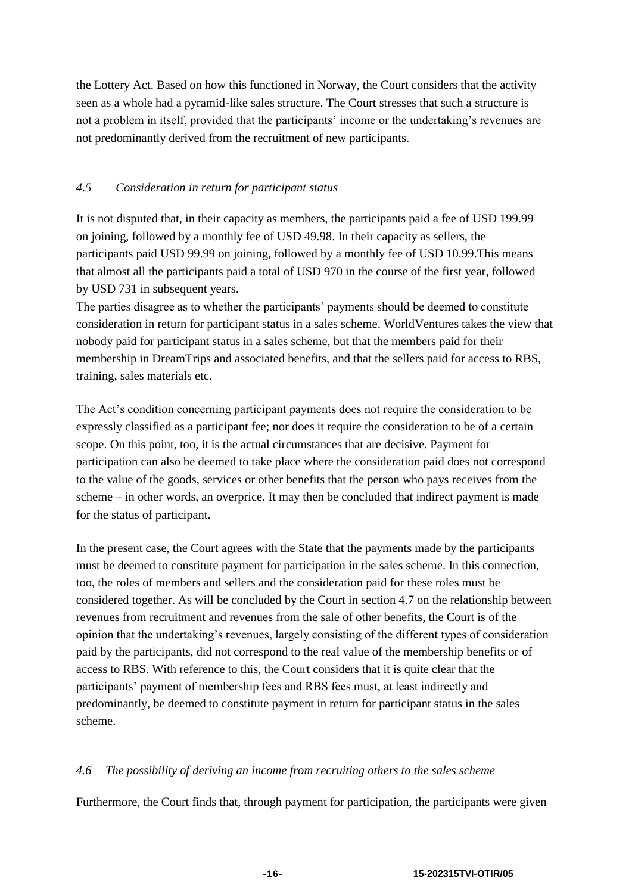the Lottery Act. Based on how this functioned in Norway, the Court considers that the activity seen as a whole had a pyramid-like sales structure. The Court stresses that such a structure is not a problem in itself, provided that the participants' income or the undertaking's revenues are not predominantly derived from the recruitment of new participants.

# *4.5 Consideration in return for participant status*

It is not disputed that, in their capacity as members, the participants paid a fee of USD 199.99 on joining, followed by a monthly fee of USD 49.98. In their capacity as sellers, the participants paid USD 99.99 on joining, followed by a monthly fee of USD 10.99.This means that almost all the participants paid a total of USD 970 in the course of the first year, followed by USD 731 in subsequent years.

The parties disagree as to whether the participants' payments should be deemed to constitute consideration in return for participant status in a sales scheme. WorldVentures takes the view that nobody paid for participant status in a sales scheme, but that the members paid for their membership in DreamTrips and associated benefits, and that the sellers paid for access to RBS, training, sales materials etc.

The Act's condition concerning participant payments does not require the consideration to be expressly classified as a participant fee; nor does it require the consideration to be of a certain scope. On this point, too, it is the actual circumstances that are decisive. Payment for participation can also be deemed to take place where the consideration paid does not correspond to the value of the goods, services or other benefits that the person who pays receives from the scheme – in other words, an overprice. It may then be concluded that indirect payment is made for the status of participant.

In the present case, the Court agrees with the State that the payments made by the participants must be deemed to constitute payment for participation in the sales scheme. In this connection, too, the roles of members and sellers and the consideration paid for these roles must be considered together. As will be concluded by the Court in section 4.7 on the relationship between revenues from recruitment and revenues from the sale of other benefits, the Court is of the opinion that the undertaking's revenues, largely consisting of the different types of consideration paid by the participants, did not correspond to the real value of the membership benefits or of access to RBS. With reference to this, the Court considers that it is quite clear that the participants' payment of membership fees and RBS fees must, at least indirectly and predominantly, be deemed to constitute payment in return for participant status in the sales scheme.

# *4.6 The possibility of deriving an income from recruiting others to the sales scheme*

Furthermore, the Court finds that, through payment for participation, the participants were given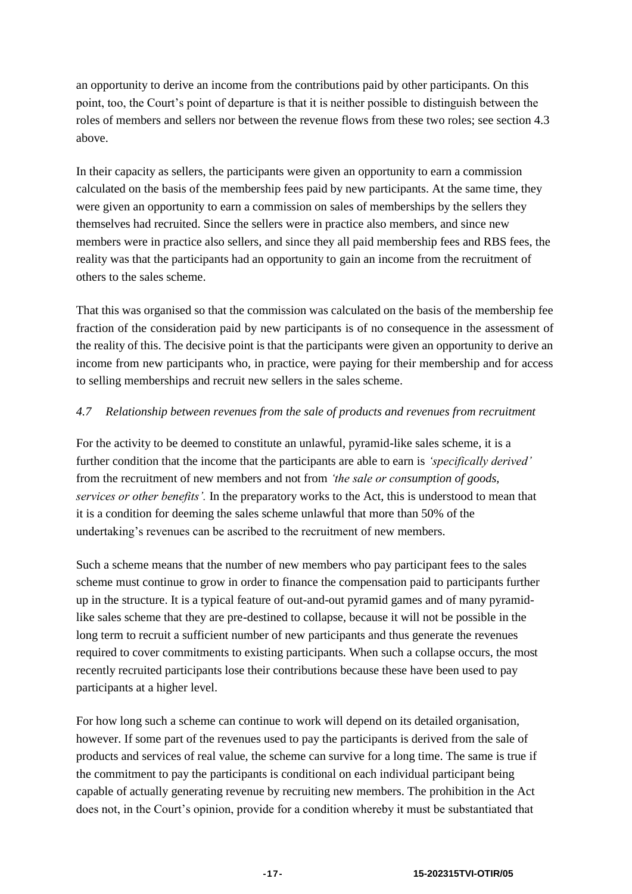an opportunity to derive an income from the contributions paid by other participants. On this point, too, the Court's point of departure is that it is neither possible to distinguish between the roles of members and sellers nor between the revenue flows from these two roles; see section 4.3 above.

In their capacity as sellers, the participants were given an opportunity to earn a commission calculated on the basis of the membership fees paid by new participants. At the same time, they were given an opportunity to earn a commission on sales of memberships by the sellers they themselves had recruited. Since the sellers were in practice also members, and since new members were in practice also sellers, and since they all paid membership fees and RBS fees, the reality was that the participants had an opportunity to gain an income from the recruitment of others to the sales scheme.

That this was organised so that the commission was calculated on the basis of the membership fee fraction of the consideration paid by new participants is of no consequence in the assessment of the reality of this. The decisive point is that the participants were given an opportunity to derive an income from new participants who, in practice, were paying for their membership and for access to selling memberships and recruit new sellers in the sales scheme.

# *4.7 Relationship between revenues from the sale of products and revenues from recruitment*

For the activity to be deemed to constitute an unlawful, pyramid-like sales scheme, it is a further condition that the income that the participants are able to earn is *'specifically derived'* from the recruitment of new members and not from *'the sale or consumption of goods, services or other benefits'.* In the preparatory works to the Act, this is understood to mean that it is a condition for deeming the sales scheme unlawful that more than 50% of the undertaking's revenues can be ascribed to the recruitment of new members.

Such a scheme means that the number of new members who pay participant fees to the sales scheme must continue to grow in order to finance the compensation paid to participants further up in the structure. It is a typical feature of out-and-out pyramid games and of many pyramidlike sales scheme that they are pre-destined to collapse, because it will not be possible in the long term to recruit a sufficient number of new participants and thus generate the revenues required to cover commitments to existing participants. When such a collapse occurs, the most recently recruited participants lose their contributions because these have been used to pay participants at a higher level.

For how long such a scheme can continue to work will depend on its detailed organisation, however. If some part of the revenues used to pay the participants is derived from the sale of products and services of real value, the scheme can survive for a long time. The same is true if the commitment to pay the participants is conditional on each individual participant being capable of actually generating revenue by recruiting new members. The prohibition in the Act does not, in the Court's opinion, provide for a condition whereby it must be substantiated that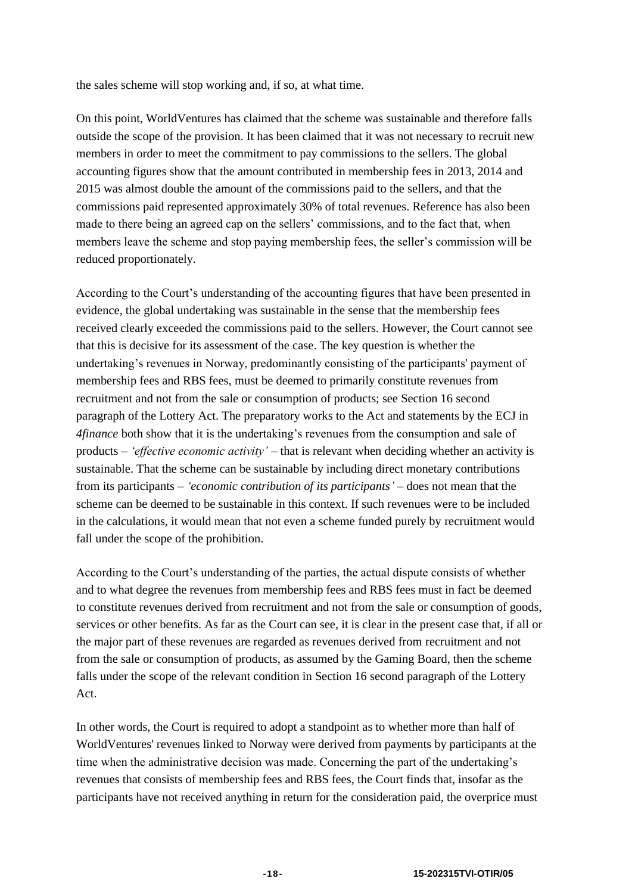the sales scheme will stop working and, if so, at what time.

On this point, WorldVentures has claimed that the scheme was sustainable and therefore falls outside the scope of the provision. It has been claimed that it was not necessary to recruit new members in order to meet the commitment to pay commissions to the sellers. The global accounting figures show that the amount contributed in membership fees in 2013, 2014 and 2015 was almost double the amount of the commissions paid to the sellers, and that the commissions paid represented approximately 30% of total revenues. Reference has also been made to there being an agreed cap on the sellers' commissions, and to the fact that, when members leave the scheme and stop paying membership fees, the seller's commission will be reduced proportionately.

According to the Court's understanding of the accounting figures that have been presented in evidence, the global undertaking was sustainable in the sense that the membership fees received clearly exceeded the commissions paid to the sellers. However, the Court cannot see that this is decisive for its assessment of the case. The key question is whether the undertaking's revenues in Norway, predominantly consisting of the participants' payment of membership fees and RBS fees, must be deemed to primarily constitute revenues from recruitment and not from the sale or consumption of products; see Section 16 second paragraph of the Lottery Act. The preparatory works to the Act and statements by the ECJ in *4finance* both show that it is the undertaking's revenues from the consumption and sale of products – *'effective economic activity' –* that is relevant when deciding whether an activity is sustainable. That the scheme can be sustainable by including direct monetary contributions from its participants – *'economic contribution of its participants' –* does not mean that the scheme can be deemed to be sustainable in this context. If such revenues were to be included in the calculations, it would mean that not even a scheme funded purely by recruitment would fall under the scope of the prohibition.

According to the Court's understanding of the parties, the actual dispute consists of whether and to what degree the revenues from membership fees and RBS fees must in fact be deemed to constitute revenues derived from recruitment and not from the sale or consumption of goods, services or other benefits. As far as the Court can see, it is clear in the present case that, if all or the major part of these revenues are regarded as revenues derived from recruitment and not from the sale or consumption of products, as assumed by the Gaming Board, then the scheme falls under the scope of the relevant condition in Section 16 second paragraph of the Lottery Act.

In other words, the Court is required to adopt a standpoint as to whether more than half of WorldVentures' revenues linked to Norway were derived from payments by participants at the time when the administrative decision was made. Concerning the part of the undertaking's revenues that consists of membership fees and RBS fees, the Court finds that, insofar as the participants have not received anything in return for the consideration paid, the overprice must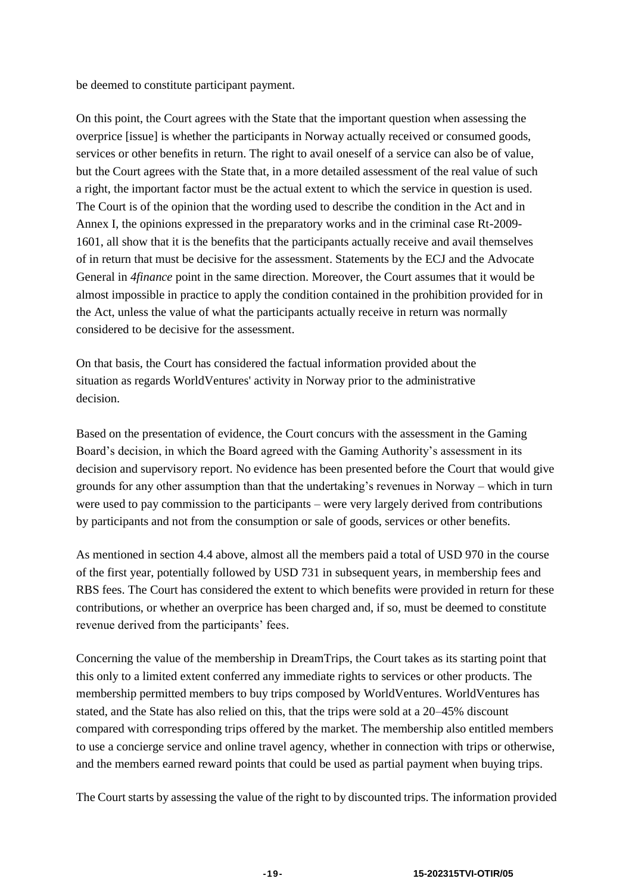be deemed to constitute participant payment.

On this point, the Court agrees with the State that the important question when assessing the overprice [issue] is whether the participants in Norway actually received or consumed goods, services or other benefits in return. The right to avail oneself of a service can also be of value, but the Court agrees with the State that, in a more detailed assessment of the real value of such a right, the important factor must be the actual extent to which the service in question is used. The Court is of the opinion that the wording used to describe the condition in the Act and in Annex I, the opinions expressed in the preparatory works and in the criminal case Rt-2009- 1601, all show that it is the benefits that the participants actually receive and avail themselves of in return that must be decisive for the assessment. Statements by the ECJ and the Advocate General in *4finance* point in the same direction. Moreover, the Court assumes that it would be almost impossible in practice to apply the condition contained in the prohibition provided for in the Act, unless the value of what the participants actually receive in return was normally considered to be decisive for the assessment.

On that basis, the Court has considered the factual information provided about the situation as regards WorldVentures' activity in Norway prior to the administrative decision.

Based on the presentation of evidence, the Court concurs with the assessment in the Gaming Board's decision, in which the Board agreed with the Gaming Authority's assessment in its decision and supervisory report. No evidence has been presented before the Court that would give grounds for any other assumption than that the undertaking's revenues in Norway – which in turn were used to pay commission to the participants – were very largely derived from contributions by participants and not from the consumption or sale of goods, services or other benefits.

As mentioned in section 4.4 above, almost all the members paid a total of USD 970 in the course of the first year, potentially followed by USD 731 in subsequent years, in membership fees and RBS fees. The Court has considered the extent to which benefits were provided in return for these contributions, or whether an overprice has been charged and, if so, must be deemed to constitute revenue derived from the participants' fees.

Concerning the value of the membership in DreamTrips, the Court takes as its starting point that this only to a limited extent conferred any immediate rights to services or other products. The membership permitted members to buy trips composed by WorldVentures. WorldVentures has stated, and the State has also relied on this, that the trips were sold at a 20–45% discount compared with corresponding trips offered by the market. The membership also entitled members to use a concierge service and online travel agency, whether in connection with trips or otherwise, and the members earned reward points that could be used as partial payment when buying trips.

The Court starts by assessing the value of the right to by discounted trips. The information provided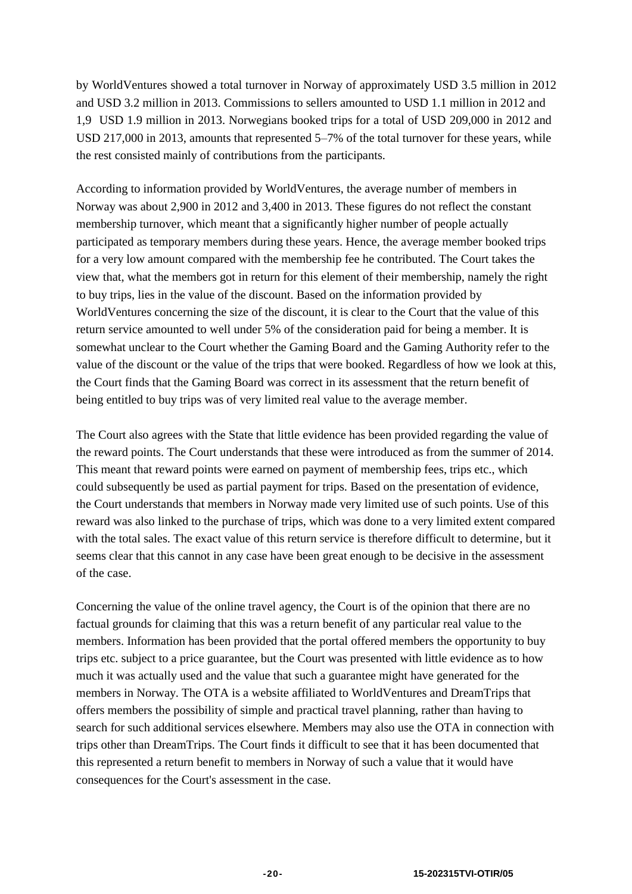by WorldVentures showed a total turnover in Norway of approximately USD 3.5 million in 2012 and USD 3.2 million in 2013. Commissions to sellers amounted to USD 1.1 million in 2012 and 1,9 USD 1.9 million in 2013. Norwegians booked trips for a total of USD 209,000 in 2012 and USD 217,000 in 2013, amounts that represented 5–7% of the total turnover for these years, while the rest consisted mainly of contributions from the participants.

According to information provided by WorldVentures, the average number of members in Norway was about 2,900 in 2012 and 3,400 in 2013. These figures do not reflect the constant membership turnover, which meant that a significantly higher number of people actually participated as temporary members during these years. Hence, the average member booked trips for a very low amount compared with the membership fee he contributed. The Court takes the view that, what the members got in return for this element of their membership, namely the right to buy trips, lies in the value of the discount. Based on the information provided by WorldVentures concerning the size of the discount, it is clear to the Court that the value of this return service amounted to well under 5% of the consideration paid for being a member. It is somewhat unclear to the Court whether the Gaming Board and the Gaming Authority refer to the value of the discount or the value of the trips that were booked. Regardless of how we look at this, the Court finds that the Gaming Board was correct in its assessment that the return benefit of being entitled to buy trips was of very limited real value to the average member.

The Court also agrees with the State that little evidence has been provided regarding the value of the reward points. The Court understands that these were introduced as from the summer of 2014. This meant that reward points were earned on payment of membership fees, trips etc., which could subsequently be used as partial payment for trips. Based on the presentation of evidence, the Court understands that members in Norway made very limited use of such points. Use of this reward was also linked to the purchase of trips, which was done to a very limited extent compared with the total sales. The exact value of this return service is therefore difficult to determine, but it seems clear that this cannot in any case have been great enough to be decisive in the assessment of the case.

Concerning the value of the online travel agency, the Court is of the opinion that there are no factual grounds for claiming that this was a return benefit of any particular real value to the members. Information has been provided that the portal offered members the opportunity to buy trips etc. subject to a price guarantee, but the Court was presented with little evidence as to how much it was actually used and the value that such a guarantee might have generated for the members in Norway. The OTA is a website affiliated to WorldVentures and DreamTrips that offers members the possibility of simple and practical travel planning, rather than having to search for such additional services elsewhere. Members may also use the OTA in connection with trips other than DreamTrips. The Court finds it difficult to see that it has been documented that this represented a return benefit to members in Norway of such a value that it would have consequences for the Court's assessment in the case.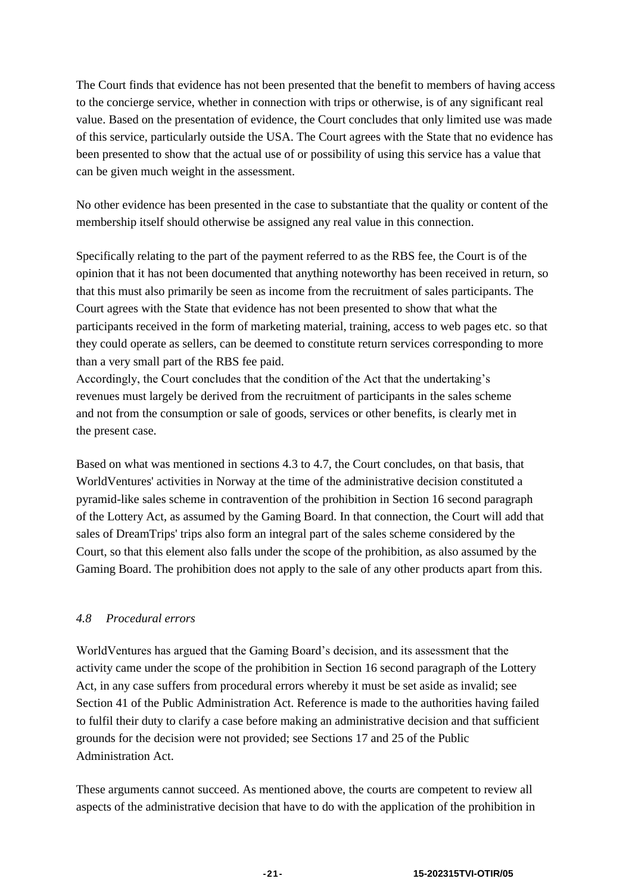The Court finds that evidence has not been presented that the benefit to members of having access to the concierge service, whether in connection with trips or otherwise, is of any significant real value. Based on the presentation of evidence, the Court concludes that only limited use was made of this service, particularly outside the USA. The Court agrees with the State that no evidence has been presented to show that the actual use of or possibility of using this service has a value that can be given much weight in the assessment.

No other evidence has been presented in the case to substantiate that the quality or content of the membership itself should otherwise be assigned any real value in this connection.

Specifically relating to the part of the payment referred to as the RBS fee, the Court is of the opinion that it has not been documented that anything noteworthy has been received in return, so that this must also primarily be seen as income from the recruitment of sales participants. The Court agrees with the State that evidence has not been presented to show that what the participants received in the form of marketing material, training, access to web pages etc. so that they could operate as sellers, can be deemed to constitute return services corresponding to more than a very small part of the RBS fee paid.

Accordingly, the Court concludes that the condition of the Act that the undertaking's revenues must largely be derived from the recruitment of participants in the sales scheme and not from the consumption or sale of goods, services or other benefits, is clearly met in the present case.

Based on what was mentioned in sections 4.3 to 4.7, the Court concludes, on that basis, that WorldVentures' activities in Norway at the time of the administrative decision constituted a pyramid-like sales scheme in contravention of the prohibition in Section 16 second paragraph of the Lottery Act, as assumed by the Gaming Board. In that connection, the Court will add that sales of DreamTrips' trips also form an integral part of the sales scheme considered by the Court, so that this element also falls under the scope of the prohibition, as also assumed by the Gaming Board. The prohibition does not apply to the sale of any other products apart from this.

# *4.8 Procedural errors*

WorldVentures has argued that the Gaming Board's decision, and its assessment that the activity came under the scope of the prohibition in Section 16 second paragraph of the Lottery Act, in any case suffers from procedural errors whereby it must be set aside as invalid; see Section 41 of the Public Administration Act. Reference is made to the authorities having failed to fulfil their duty to clarify a case before making an administrative decision and that sufficient grounds for the decision were not provided; see Sections 17 and 25 of the Public Administration Act.

These arguments cannot succeed. As mentioned above, the courts are competent to review all aspects of the administrative decision that have to do with the application of the prohibition in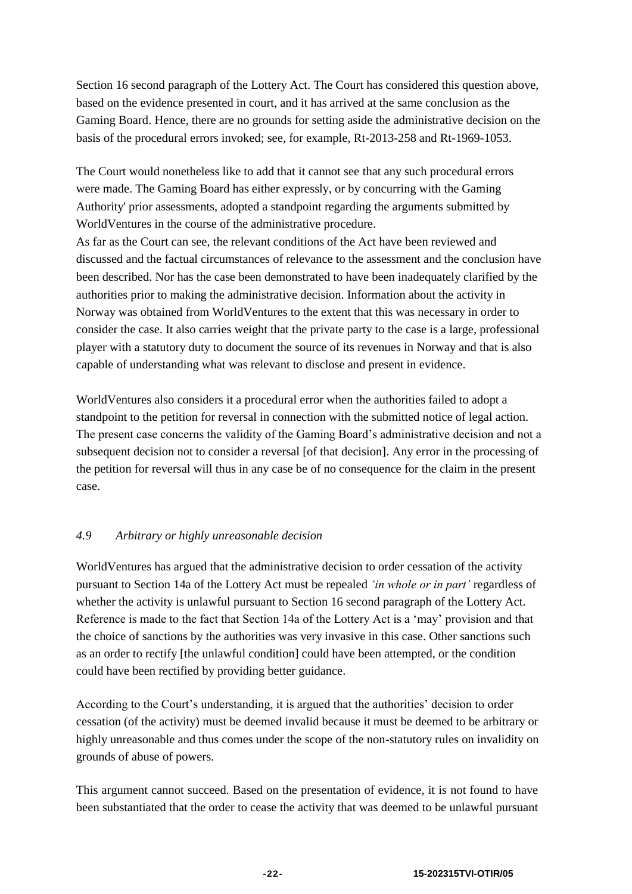Section 16 second paragraph of the Lottery Act. The Court has considered this question above, based on the evidence presented in court, and it has arrived at the same conclusion as the Gaming Board. Hence, there are no grounds for setting aside the administrative decision on the basis of the procedural errors invoked; see, for example, Rt-2013-258 and Rt-1969-1053.

The Court would nonetheless like to add that it cannot see that any such procedural errors were made. The Gaming Board has either expressly, or by concurring with the Gaming Authority' prior assessments, adopted a standpoint regarding the arguments submitted by WorldVentures in the course of the administrative procedure.

As far as the Court can see, the relevant conditions of the Act have been reviewed and discussed and the factual circumstances of relevance to the assessment and the conclusion have been described. Nor has the case been demonstrated to have been inadequately clarified by the authorities prior to making the administrative decision. Information about the activity in Norway was obtained from WorldVentures to the extent that this was necessary in order to consider the case. It also carries weight that the private party to the case is a large, professional player with a statutory duty to document the source of its revenues in Norway and that is also capable of understanding what was relevant to disclose and present in evidence.

WorldVentures also considers it a procedural error when the authorities failed to adopt a standpoint to the petition for reversal in connection with the submitted notice of legal action. The present case concerns the validity of the Gaming Board's administrative decision and not a subsequent decision not to consider a reversal [of that decision]. Any error in the processing of the petition for reversal will thus in any case be of no consequence for the claim in the present case.

# *4.9 Arbitrary or highly unreasonable decision*

WorldVentures has argued that the administrative decision to order cessation of the activity pursuant to Section 14a of the Lottery Act must be repealed *'in whole or in part'* regardless of whether the activity is unlawful pursuant to Section 16 second paragraph of the Lottery Act. Reference is made to the fact that Section 14a of the Lottery Act is a 'may' provision and that the choice of sanctions by the authorities was very invasive in this case. Other sanctions such as an order to rectify [the unlawful condition] could have been attempted, or the condition could have been rectified by providing better guidance.

According to the Court's understanding, it is argued that the authorities' decision to order cessation (of the activity) must be deemed invalid because it must be deemed to be arbitrary or highly unreasonable and thus comes under the scope of the non-statutory rules on invalidity on grounds of abuse of powers.

This argument cannot succeed. Based on the presentation of evidence, it is not found to have been substantiated that the order to cease the activity that was deemed to be unlawful pursuant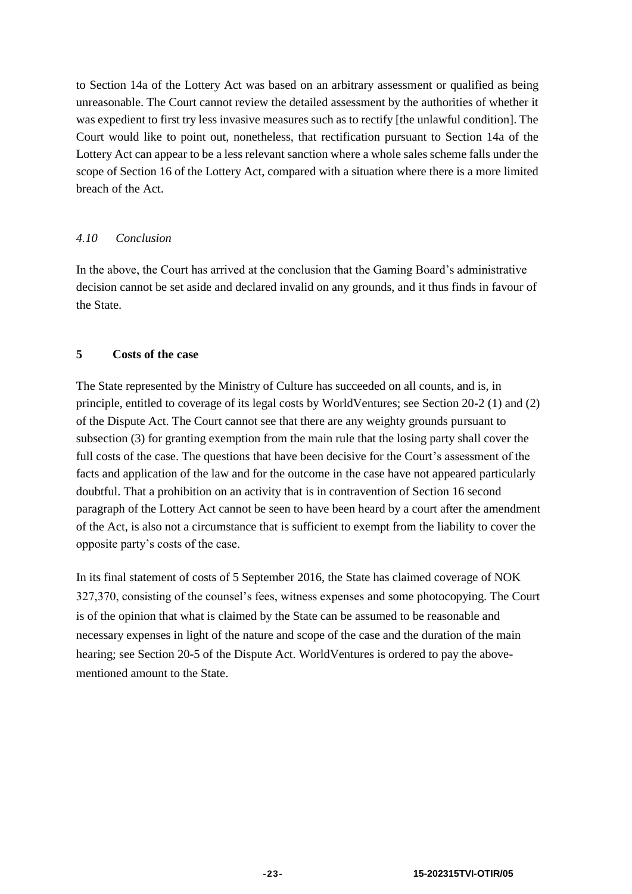to Section 14a of the Lottery Act was based on an arbitrary assessment or qualified as being unreasonable. The Court cannot review the detailed assessment by the authorities of whether it was expedient to first try less invasive measures such as to rectify [the unlawful condition]. The Court would like to point out, nonetheless, that rectification pursuant to Section 14a of the Lottery Act can appear to be a less relevant sanction where a whole sales scheme falls under the scope of Section 16 of the Lottery Act, compared with a situation where there is a more limited breach of the Act.

# *4.10 Conclusion*

In the above, the Court has arrived at the conclusion that the Gaming Board's administrative decision cannot be set aside and declared invalid on any grounds, and it thus finds in favour of the State.

# **5 Costs of the case**

The State represented by the Ministry of Culture has succeeded on all counts, and is, in principle, entitled to coverage of its legal costs by WorldVentures; see Section 20-2 (1) and (2) of the Dispute Act. The Court cannot see that there are any weighty grounds pursuant to subsection (3) for granting exemption from the main rule that the losing party shall cover the full costs of the case. The questions that have been decisive for the Court's assessment of the facts and application of the law and for the outcome in the case have not appeared particularly doubtful. That a prohibition on an activity that is in contravention of Section 16 second paragraph of the Lottery Act cannot be seen to have been heard by a court after the amendment of the Act, is also not a circumstance that is sufficient to exempt from the liability to cover the opposite party's costs of the case.

In its final statement of costs of 5 September 2016, the State has claimed coverage of NOK 327,370, consisting of the counsel's fees, witness expenses and some photocopying. The Court is of the opinion that what is claimed by the State can be assumed to be reasonable and necessary expenses in light of the nature and scope of the case and the duration of the main hearing; see Section 20-5 of the Dispute Act. WorldVentures is ordered to pay the abovementioned amount to the State.